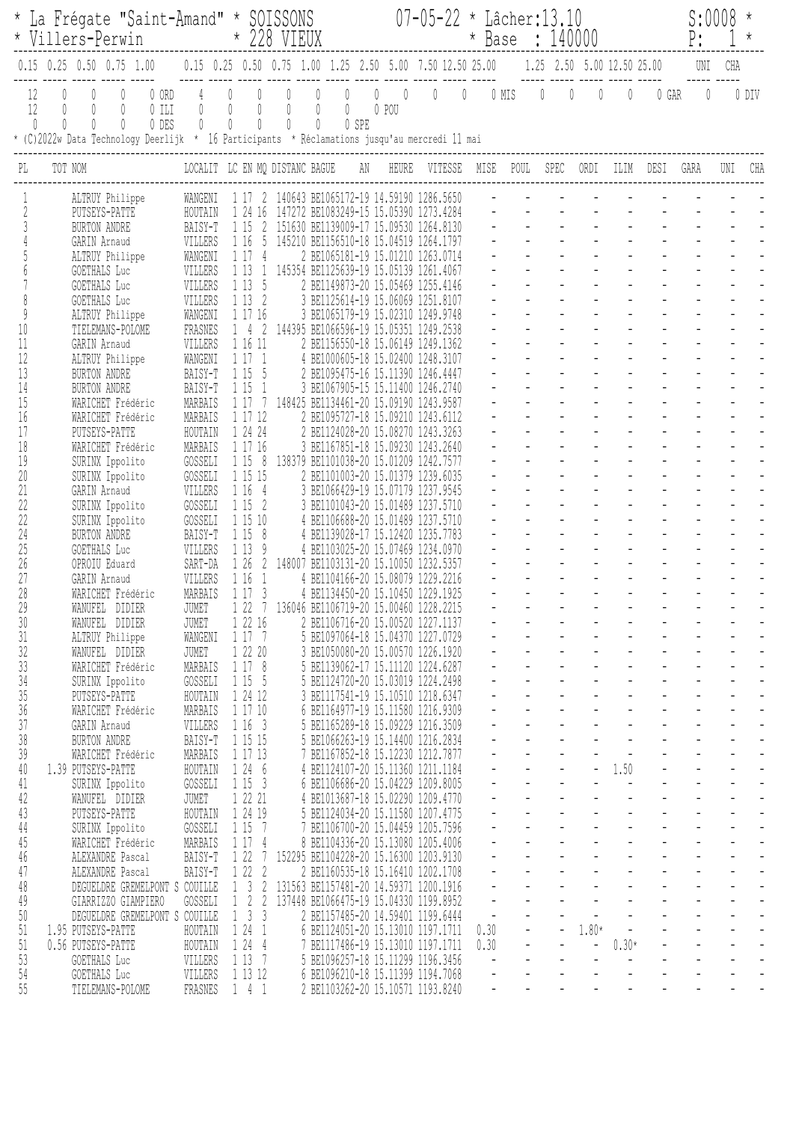|          | * La Frégate "Saint-Amand" * SOISSONS<br>* Villers-Perwin                                                                                                                                                                                                                                  |                                                 | * 228 VIEUX                                                 |                                                                                                                     |                                                                                                         |       |                      | $07 - 05 - 22$ * Lâcher: 13.10<br>* Base : 140000 |  |                |           |                |                  |                                                      | S:0008<br>P: |              |     |       |
|----------|--------------------------------------------------------------------------------------------------------------------------------------------------------------------------------------------------------------------------------------------------------------------------------------------|-------------------------------------------------|-------------------------------------------------------------|---------------------------------------------------------------------------------------------------------------------|---------------------------------------------------------------------------------------------------------|-------|----------------------|---------------------------------------------------|--|----------------|-----------|----------------|------------------|------------------------------------------------------|--------------|--------------|-----|-------|
|          | $0.15$ 0.25 0.50 0.75 1.00                                                                                                                                                                                                                                                                 |                                                 |                                                             | $0.15$ $0.25$ $0.50$ $0.75$ $1.00$ $1.25$ $2.50$ $5.00$ $7.50$ $12.50$ $25.00$ $1.25$ $2.50$ $5.00$ $12.50$ $25.00$ |                                                                                                         |       |                      |                                                   |  |                |           |                |                  |                                                      |              | UNI          | CHA |       |
|          | 0 ORD<br>12<br>$\left\{ \right\}$<br>12<br>$\begin{matrix} \end{matrix}$<br>$0$ ILI<br>$\begin{matrix} \n\end{matrix}$<br>$\begin{matrix} \end{matrix}$<br>0 DES<br>0<br>$\left( \right)$<br>* (C)2022w Data Technology Deerlijk * 16 Participants * Réclamations jusqu'au mercredi 11 mai | $\begin{matrix} 0 \end{matrix}$<br>$\mathbb{O}$ | $\bigcirc$<br>$\emptyset$<br>$\overline{0}$<br>$\mathbb{O}$ | $\overline{0}$<br>$\overline{0}$<br>$\mathbb{O}$<br>$\bigcap$<br>$\begin{matrix} \end{matrix}$                      | $\overline{0}$<br>$\begin{array}{c} \n\end{array}$<br>$\emptyset$<br>$\begin{matrix} \end{matrix}$<br>0 | 0 SPE | $0\qquad 0$<br>0 POU | $0\qquad 0$                                       |  |                |           | $0$ MIS $0$ 0  | $\overline{0}$   | $\theta$                                             | 0 GAR        | $\mathbf{0}$ |     | 0 DIV |
| PI.      | LOCALIT LC EN MQ DISTANC BAGUE AN<br>TOT NOM                                                                                                                                                                                                                                               |                                                 |                                                             |                                                                                                                     |                                                                                                         |       |                      | HEURE VITESSE MISE                                |  |                | POUL SPEC |                | ORDI             | ILIM                                                 | DESI         | GARA         |     | CHA   |
|          | ALTRUY Philippe                                                                                                                                                                                                                                                                            | WANGENI                                         |                                                             | 1 17 2 140643 BE1065172-19 14.59190 1286.5650                                                                       |                                                                                                         |       |                      |                                                   |  |                |           |                |                  |                                                      |              |              |     |       |
|          | PUTSEYS-PATTE                                                                                                                                                                                                                                                                              | HOUTAIN                                         | 1 24                                                        | -16                                                                                                                 | 147272 BE1083249-15 15.05390 1273.4284                                                                  |       |                      |                                                   |  |                |           |                |                  |                                                      |              |              |     |       |
|          | BURTON ANDRE                                                                                                                                                                                                                                                                               | BAISY-T                                         | 1 15                                                        |                                                                                                                     | 151630 BE1139009-17 15.09530                                                                            |       |                      | 1264.8130                                         |  |                |           |                |                  |                                                      |              |              |     |       |
|          | GARIN Arnaud<br>ALTRUY Philippe                                                                                                                                                                                                                                                            | VILLERS<br>WANGENI                              | 1 16<br>117                                                 | 5<br>4                                                                                                              | 145210 BE1156510-18 15.04519 1264.1797<br>2 BE1065181-19 15.01210 1263.0714                             |       |                      |                                                   |  |                |           |                |                  |                                                      |              |              |     |       |
|          | GOETHALS Luc                                                                                                                                                                                                                                                                               | VILLERS                                         | 1 1 3                                                       | $\mathbf{1}$                                                                                                        | 145354 BE1125639-19 15.05139 1261.4067                                                                  |       |                      |                                                   |  |                |           |                |                  |                                                      |              |              |     |       |
|          | GOETHALS Luc                                                                                                                                                                                                                                                                               | VILLERS                                         | 1 1 3                                                       | - 5                                                                                                                 | 2 BE1149873-20 15.05469 1255.4146                                                                       |       |                      |                                                   |  |                |           |                |                  |                                                      |              |              |     |       |
|          | GOETHALS Luc                                                                                                                                                                                                                                                                               | VILLERS                                         | 1132                                                        |                                                                                                                     | 3 BE1125614-19 15.06069 1251.8107                                                                       |       |                      |                                                   |  |                |           |                |                  |                                                      |              |              |     |       |
|          | ALTRUY Philippe                                                                                                                                                                                                                                                                            | WANGENI                                         | 1 17 16                                                     |                                                                                                                     | 3 BE1065179-19 15.02310 1249.9748                                                                       |       |                      |                                                   |  |                |           |                |                  |                                                      |              |              |     |       |
| 10       | TI ELEMANS-POLOME                                                                                                                                                                                                                                                                          | FRASNES                                         | 14                                                          | 2                                                                                                                   | 144395 BE1066596-19 15.05351                                                                            |       |                      | 1249.2538                                         |  |                |           |                |                  |                                                      |              |              |     |       |
| 11       | GARIN Arnaud                                                                                                                                                                                                                                                                               | VILLERS                                         | 1 16 11                                                     |                                                                                                                     | 2 BE1156550-18 15.06149 1249.1362                                                                       |       |                      |                                                   |  |                |           |                |                  |                                                      |              |              |     |       |
| 12<br>13 | ALTRUY Philippe<br>BURTON ANDRE                                                                                                                                                                                                                                                            | WANGENI                                         | 1171<br>1 15                                                | - 5                                                                                                                 | 4 BE1000605-18 15.02400 1248.3107<br>2 BE1095475-16 15.11390 1246.4447                                  |       |                      |                                                   |  |                |           |                |                  |                                                      |              |              |     |       |
| 14       | <b>BURTON ANDRE</b>                                                                                                                                                                                                                                                                        | BAISY-T<br>BAISY-T                              | 1 15                                                        | -1                                                                                                                  | 3 BE1067905-15 15.11400 1246.2740                                                                       |       |                      |                                                   |  |                |           |                |                  |                                                      |              |              |     |       |
| 15       | WARICHET Frédéric                                                                                                                                                                                                                                                                          | MARBAIS                                         | 1 17                                                        |                                                                                                                     | 148425 BE1134461-20 15.09190 1243.9587                                                                  |       |                      |                                                   |  |                |           |                |                  |                                                      |              |              |     |       |
| 16       | WARICHET Frédéric                                                                                                                                                                                                                                                                          | MARBAIS                                         | 1 17 12                                                     |                                                                                                                     | 2 BE1095727-18 15.09210 1243.6112                                                                       |       |                      |                                                   |  |                |           |                |                  |                                                      |              |              |     |       |
| 17       | PUTSEYS-PATTE                                                                                                                                                                                                                                                                              | HOUTAIN                                         | 1 24 24                                                     |                                                                                                                     | 2 BE1124028-20 15.08270 1243.3263                                                                       |       |                      |                                                   |  |                |           |                |                  |                                                      |              |              |     |       |
| 18       | WARICHET Frédéric                                                                                                                                                                                                                                                                          | MARBAIS                                         | 1 17 16                                                     |                                                                                                                     | 3 BE1167851-18 15.09230 1243.2640                                                                       |       |                      |                                                   |  |                |           |                |                  |                                                      |              |              |     |       |
| 19       | SURINX Ippolito                                                                                                                                                                                                                                                                            | GOSSELI                                         | 1158                                                        |                                                                                                                     | 138379 BE1101038-20 15.01209 1242.7577                                                                  |       |                      |                                                   |  |                |           |                |                  |                                                      |              |              |     |       |
| 20       | SURINX Ippolito                                                                                                                                                                                                                                                                            | GOSSELI                                         | 1 15 15                                                     |                                                                                                                     | 2 BE1101003-20 15.01379 1239.6035                                                                       |       |                      |                                                   |  |                |           |                |                  |                                                      |              |              |     |       |
| 21<br>22 | GARIN Arnaud                                                                                                                                                                                                                                                                               | VILLERS                                         | 116<br>1 15                                                 | $\overline{4}$                                                                                                      | 3 BE1066429-19 15.07179 1237.9545<br>3 BE1101043-20 15.01489 1237.5710                                  |       |                      |                                                   |  |                |           |                |                  |                                                      |              |              |     |       |
| 22       | SURINX Ippolito<br>SURINX Ippolito                                                                                                                                                                                                                                                         | GOSSELI<br>GOSSELI                              | 1 15 10                                                     | 2                                                                                                                   | 4 BE1106688-20 15.01489 1237.5710                                                                       |       |                      |                                                   |  |                |           |                |                  |                                                      |              |              |     |       |
| 24       | BURTON ANDRE                                                                                                                                                                                                                                                                               | BAISY-T                                         | 1 15                                                        | 8                                                                                                                   | 4 BE1139028-17 15.12420                                                                                 |       |                      | 1235.7783                                         |  |                |           |                |                  |                                                      |              |              |     |       |
| 25       | GOETHALS Luc                                                                                                                                                                                                                                                                               | VILLERS                                         | 1 1 3                                                       | 9                                                                                                                   | 4 BE1103025-20 15.07469 1234.0970                                                                       |       |                      |                                                   |  |                |           |                |                  |                                                      |              |              |     |       |
| 26       | OPROIU Eduard                                                                                                                                                                                                                                                                              | SART-DA                                         | 126                                                         |                                                                                                                     | 148007 BE1103131-20 15.10050 1232.5357                                                                  |       |                      |                                                   |  |                |           |                |                  |                                                      |              |              |     |       |
| 27       | GARIN Arnaud                                                                                                                                                                                                                                                                               | VILLERS                                         | 116                                                         | $\lceil$                                                                                                            | 4 BE1104166-20 15.08079 1229.2216                                                                       |       |                      |                                                   |  |                |           |                |                  |                                                      |              |              |     |       |
| 28       | WARICHET Frédéric                                                                                                                                                                                                                                                                          | MARBAIS                                         | 117                                                         | 3                                                                                                                   | 4 BE1134450-20 15.10450 1229.1925                                                                       |       |                      |                                                   |  |                |           |                |                  |                                                      |              |              |     |       |
| 29       | WANUFEL DIDIER                                                                                                                                                                                                                                                                             | JUMET                                           | 1227                                                        |                                                                                                                     | 136046 BE1106719-20 15.00460 1228.2215                                                                  |       |                      |                                                   |  |                |           |                |                  |                                                      |              |              |     |       |
| 30       | WANUFEL DIDIER                                                                                                                                                                                                                                                                             | JUMET<br>WANGENI                                | 1 22 16<br>1 17 7                                           |                                                                                                                     | 2 BE1106716-20 15.00520 1227.1137<br>5 BE1097064-18 15.04370 1227.0729                                  |       |                      |                                                   |  |                |           |                |                  |                                                      |              |              |     |       |
| 31<br>32 | ALTRUY Philippe<br>WANUFEL DIDIER                                                                                                                                                                                                                                                          | JUMET                                           | 1 22 20                                                     |                                                                                                                     | 3 BE1050080-20 15.00570 1226.1920                                                                       |       |                      |                                                   |  |                |           |                |                  |                                                      |              |              |     |       |
| 33       | WARICHET Frédéric                                                                                                                                                                                                                                                                          | MARBAIS                                         | 1178                                                        |                                                                                                                     | 5 BE1139062-17 15.11120 1224.6287                                                                       |       |                      |                                                   |  |                |           |                |                  |                                                      |              |              |     |       |
| $34\,$   | SURINX Ippolito                                                                                                                                                                                                                                                                            | GOSSELI                                         | 1 15 5                                                      |                                                                                                                     | 5 BE1124720-20 15.03019 1224.2498                                                                       |       |                      |                                                   |  |                |           |                |                  |                                                      |              |              |     |       |
| 35       | PUTSEYS-PATTE                                                                                                                                                                                                                                                                              | HOUTAIN                                         | 1 24 12                                                     |                                                                                                                     | 3 BE1117541-19 15.10510 1218.6347                                                                       |       |                      |                                                   |  |                |           |                |                  |                                                      |              |              |     |       |
| 36       | WARICHET Frédéric                                                                                                                                                                                                                                                                          | MARBAIS                                         | 1 17 10                                                     |                                                                                                                     | 6 BE1164977-19 15.11580 1216.9309                                                                       |       |                      |                                                   |  |                |           | $\omega$       | $\omega_{\rm c}$ |                                                      |              |              |     |       |
| 37       | GARIN Arnaud                                                                                                                                                                                                                                                                               | VILLERS                                         | 1163                                                        |                                                                                                                     | 5 BE1165289-18 15.09229 1216.3509                                                                       |       |                      |                                                   |  |                |           |                |                  |                                                      |              |              |     |       |
| 38       | BURTON ANDRE                                                                                                                                                                                                                                                                               | BAISY-T                                         | 1 15 15                                                     |                                                                                                                     | 5 BE1066263-19 15.14400 1216.2834                                                                       |       |                      |                                                   |  |                |           |                |                  |                                                      |              |              |     |       |
| 39       | WARICHET Frédéric<br>1.39 PUTSEYS-PATTE                                                                                                                                                                                                                                                    | MARBAIS                                         | 1 17 13<br>1246                                             |                                                                                                                     | 7 BE1167852-18 15.12230 1212.7877<br>4 BE1124107-20 15.11360 1211.1184                                  |       |                      |                                                   |  |                |           |                |                  | $-1.50$                                              |              |              |     |       |
| 40<br>41 | SURINX Ippolito                                                                                                                                                                                                                                                                            | HOUTAIN<br>GOSSELI                              | 1153                                                        |                                                                                                                     | 6 BE1106686-20 15.04229 1209.8005                                                                       |       |                      |                                                   |  |                |           |                |                  | $\alpha$ , $\alpha$ , $\alpha$ , $\alpha$ , $\alpha$ |              |              |     |       |
| 42       | WANUFEL DIDIER                                                                                                                                                                                                                                                                             | JUMET                                           | 1 22 21                                                     |                                                                                                                     | 4 BE1013687-18 15.02290 1209.4770                                                                       |       |                      |                                                   |  |                |           |                |                  |                                                      |              |              |     |       |
| 43       | PUTSEYS-PATTE                                                                                                                                                                                                                                                                              | HOUTAIN                                         | 1 24 19                                                     |                                                                                                                     | 5 BE1124034-20 15.11580 1207.4775                                                                       |       |                      |                                                   |  |                |           |                |                  |                                                      |              |              |     |       |
| 44       | SURINX Ippolito                                                                                                                                                                                                                                                                            | GOSSELI                                         | 1 15 7                                                      |                                                                                                                     | 7 BE1106700-20 15.04459 1205.7596                                                                       |       |                      |                                                   |  |                |           |                |                  |                                                      |              |              |     |       |
| 45       | WARICHET Frédéric                                                                                                                                                                                                                                                                          | MARBAIS                                         | 1174                                                        |                                                                                                                     | 8 BE1104336-20 15.13080 1205.4006                                                                       |       |                      |                                                   |  |                |           |                |                  |                                                      |              |              |     |       |
| 46       | ALEXANDRE Pascal                                                                                                                                                                                                                                                                           | BAISY-T                                         | 1 22 7                                                      |                                                                                                                     | 152295 BE1104228-20 15.16300 1203.9130                                                                  |       |                      |                                                   |  |                |           |                |                  |                                                      |              |              |     |       |
| 47       | ALEXANDRE Pascal                                                                                                                                                                                                                                                                           | BAISY-T                                         | 122                                                         | 2                                                                                                                   | 2 BE1160535-18 15.16410 1202.1708                                                                       |       |                      |                                                   |  |                |           |                |                  |                                                      |              |              |     |       |
| 48       | DEGUELDRE GREMELPONT S COUILLE                                                                                                                                                                                                                                                             |                                                 | $1 \quad 3$                                                 | $\sqrt{2}$                                                                                                          | 131563 BE1157481-20 14.59371 1200.1916                                                                  |       |                      |                                                   |  |                |           | $\blacksquare$ |                  |                                                      |              |              |     |       |
| 49       | GIARRIZZO GIAMPIERO                                                                                                                                                                                                                                                                        | GOSSELI                                         | $1 \quad 2 \quad 2$                                         |                                                                                                                     | 137448 BE1066475-19 15.04330 1199.8952                                                                  |       |                      |                                                   |  |                |           |                |                  |                                                      |              |              |     |       |
| 50<br>51 | DEGUELDRE GREMELPONT S COUILLE<br>1.95 PUTSEYS-PATTE                                                                                                                                                                                                                                       | HOUTAIN                                         | $1 \quad 3 \quad 3$<br>1241                                 |                                                                                                                     | 2 BE1157485-20 14.59401 1199.6444<br>6 BE1124051-20 15.13010 1197.1711                                  |       |                      |                                                   |  | 0.30           |           |                | 1.80*            | $\sim$ $-$                                           |              |              |     |       |
| 51       | 0.56 PUTSEYS-PATTE                                                                                                                                                                                                                                                                         | HOUTAIN                                         | 1244                                                        |                                                                                                                     | 7 BE1117486-19 15.13010 1197.1711                                                                       |       |                      |                                                   |  | 0.30           |           |                | $\sim$           | $0.30*$                                              |              |              |     |       |
| 53       | <b>GOETHALS</b> Luc                                                                                                                                                                                                                                                                        | VILLERS                                         | 1137                                                        |                                                                                                                     | 5 BE1096257-18 15.11299 1196.3456                                                                       |       |                      |                                                   |  | $\blacksquare$ |           |                |                  | $\frac{1}{2}$                                        |              |              |     |       |
| 54       | <b>GOETHALS</b> Luc                                                                                                                                                                                                                                                                        | VILLERS                                         | 1 13 12                                                     |                                                                                                                     | 6 BE1096210-18 15.11399 1194.7068                                                                       |       |                      |                                                   |  | $\blacksquare$ |           |                |                  |                                                      |              |              |     |       |
| 55       | TIELEMANS-POLOME                                                                                                                                                                                                                                                                           | FRASNES                                         | 141                                                         |                                                                                                                     | 2 BE1103262-20 15.10571 1193.8240                                                                       |       |                      |                                                   |  | $\blacksquare$ |           |                |                  |                                                      |              |              |     |       |